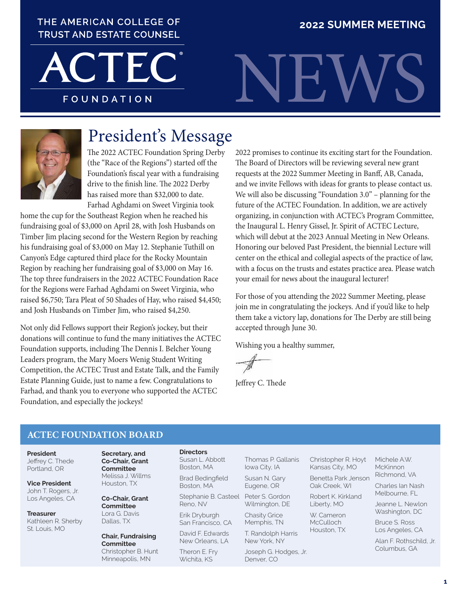## THE AMERICAN COLLEGE OF **TRUST AND ESTATE COUNSEL**

**2022 SUMMER MEETING**

**FOUNDATION** 





# President's Message

The 2022 ACTEC Foundation Spring Derby (the "Race of the Regions") started off the Foundation's fiscal year with a fundraising drive to the finish line. The 2022 Derby has raised more than \$32,000 to date. Farhad Aghdami on Sweet Virginia took

home the cup for the Southeast Region when he reached his fundraising goal of \$3,000 on April 28, with Josh Husbands on Timber Jim placing second for the Western Region by reaching his fundraising goal of \$3,000 on May 12. Stephanie Tuthill on Canyon's Edge captured third place for the Rocky Mountain Region by reaching her fundraising goal of \$3,000 on May 16. The top three fundraisers in the 2022 ACTEC Foundation Race for the Regions were Farhad Aghdami on Sweet Virginia, who raised \$6,750; Tara Pleat of 50 Shades of Hay, who raised \$4,450; and Josh Husbands on Timber Jim, who raised \$4,250.

Not only did Fellows support their Region's jockey, but their donations will continue to fund the many initiatives the ACTEC Foundation supports, including The Dennis I. Belcher Young Leaders program, the Mary Moers Wenig Student Writing Competition, the ACTEC Trust and Estate Talk, and the Family Estate Planning Guide, just to name a few. Congratulations to Farhad, and thank you to everyone who supported the ACTEC Foundation, and especially the jockeys!

2022 promises to continue its exciting start for the Foundation. The Board of Directors will be reviewing several new grant requests at the 2022 Summer Meeting in Banff, AB, Canada, and we invite Fellows with ideas for grants to please contact us. We will also be discussing "Foundation 3.0" – planning for the future of the ACTEC Foundation. In addition, we are actively organizing, in conjunction with ACTEC's Program Committee, the Inaugural L. Henry Gissel, Jr. Spirit of ACTEC Lecture, which will debut at the 2023 Annual Meeting in New Orleans. Honoring our beloved Past President, the biennial Lecture will center on the ethical and collegial aspects of the practice of law, with a focus on the trusts and estates practice area. Please watch your email for news about the inaugural lecturer!

For those of you attending the 2022 Summer Meeting, please join me in congratulating the jockeys. And if you'd like to help them take a victory lap, donations for The Derby are still being accepted through June 30.

Wishing you a healthy summer,

Jeffrey C. Thede

### **ACTEC FOUNDATION BOARD**

**President** Jeffrey C. Thede Portland, OR

**Vice President** John T. Rogers, Jr. Los Angeles, CA

**Treasurer** Kathleen R. Sherby St. Louis, MO

**Secretary, and Co-Chair, Grant Committee** Melissa J. Willms Houston, TX

**C0-Chair, Grant Committee** Lora G. Davis Dallas, TX

**Chair, Fundraising Committee** Christopher B. Hunt Minneapolis, MN

#### **Directors**

Susan L. Abbott Boston, MA Brad Bedingfield

Boston, MA

Stephanie B. Casteel Reno, NV

Erik Dryburgh San Francisco, CA

David F. Edwards New Orleans, LA

Theron E. Fry Wichita, KS

Thomas P. Gallanis Iowa City, IA

Susan N. Gary Eugene, OR Peter S. Gordon

Wilmington, DE Chasity Grice

Memphis, TN T. Randolph Harris New York, NY

Joseph G. Hodges, Jr. Denver, CO

Christopher R. Hoyt Kansas City, MO

Benetta Park Jenson Oak Creek, WI

Robert K. Kirkland Liberty, MO

W. Cameron **McCulloch** Houston, TX

Alan F. Rothschild, Jr. Columbus, GA

Michele A.W. **McKinnon** Richmond, VA Charles Ian Nash Melbourne, FL Jeanne L. Newlon Washington, DC Bruce S. Ross Los Angeles, CA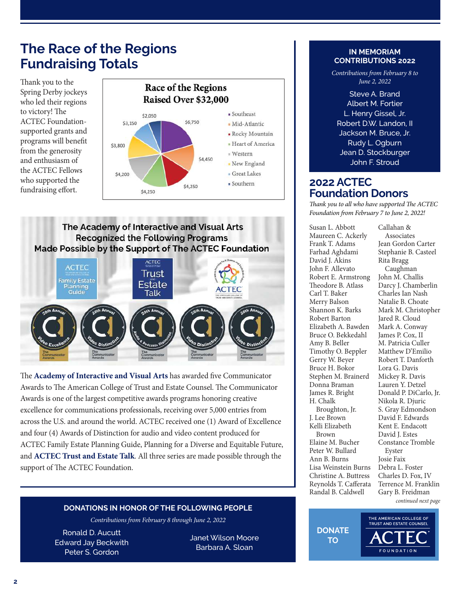## **The Race of the Regions Fundraising Totals**

Thank you to the Spring Derby jockeys who led their regions to victory! The ACTEC Foundationsupported grants and programs will benefit from the generosity and enthusiasm of the ACTEC Fellows who supported the fundraising effort.



The Academy of Interactive and Visual Arts **Recognized the Following Programs** Made Possible by the Support of The ACTEC Foundation



The **[Academy of Interactive and Visual Arts](https://www.aiva.org)** has awarded five Communicator Awards to The American College of Trust and Estate Counsel. The Communicator Awards is one of the largest competitive awards programs honoring creative excellence for communications professionals, receiving over 5,000 entries from across the U.S. and around the world. ACTEC received one (1) Award of Excellence and four (4) Awards of Distinction for audio and video content produced for ACTEC Family Estate Planning Guide, Planning for a Diverse and Equitable Future, and **[ACTEC Trust and Estate Talk](https://www.actec.org/news/?CategoryId=7&F_All=y)**. All three series are made possible through the support of The ACTEC Foundation.

#### **DONATIONS IN HONOR OF THE FOLLOWING PEOPLE**

Contributions from February 8 through June 2, 2022

Ronald D. Aucutt Edward Jay Beckwith Peter S. Gordon

Janet Wilson Moore Barbara A. Sloan

#### **IN MEMORIAM CONTRIBUTIONS 2022**

Contributions from February 8 to June 2, 2022

Steve A. Brand Albert M. Fortier L. Henry Gissel, Jr. Robert D.W. Landon, II Jackson M. Bruce, Jr. Rudy L. Ogburn Jean D. Stockburger John F. Stroud

## **2022 ACTEC Foundation Donors**

Thank you to all who have supported The ACTEC Foundation from February 7 to June 2, 2022!

> Callahan & Associates Jean Gordon Carter Stephanie B. Casteel

Susan L. Abbott Maureen C. Ackerly Frank T. Adams Farhad Aghdami David I. Akins John F. Allevato Robert E. Armstrong Theodore B. Atlass Carl T. Baker Merry Balson Shannon K. Barks Robert Barton Elizabeth A. Bawden Bruce O. Bekkedahl Amy B. Beller Timothy O. Beppler Gerry W. Beyer Bruce H. Bokor Stephen M. Brainerd Donna Braman James R. Bright H. Chalk Broughton, Jr. J. Lee Brown Kelli Elizabeth

Brown Elaine M. Bucher Peter W. Bullard Ann B. Burns Lisa Weinstein Burns Christine A. Buttress Reynolds T. Cafferata Randal B. Caldwell

**TO** 

Rita Bragg Caughman John M. Challis Darcy J. Chamberlin Charles Ian Nash Natalie B. Choate Mark M. Christopher Jared R. Cloud Mark A. Conway James P. Cox, II M. Patricia Culler Matthew D'Emilio Robert T. Danforth Lora G. Davis Mickey R. Davis Lauren Y. Detzel Donald P. DiCarlo, Jr. Nikola R. Djuric S. Gray Edmondson David F. Edwards Kent E. Endacott David J. Estes Constance Tromble Eyster Josie Faix Debra L. Foster Charles D. Fox, IV Terrence M. Franklin Gary B. Freidman continued next page